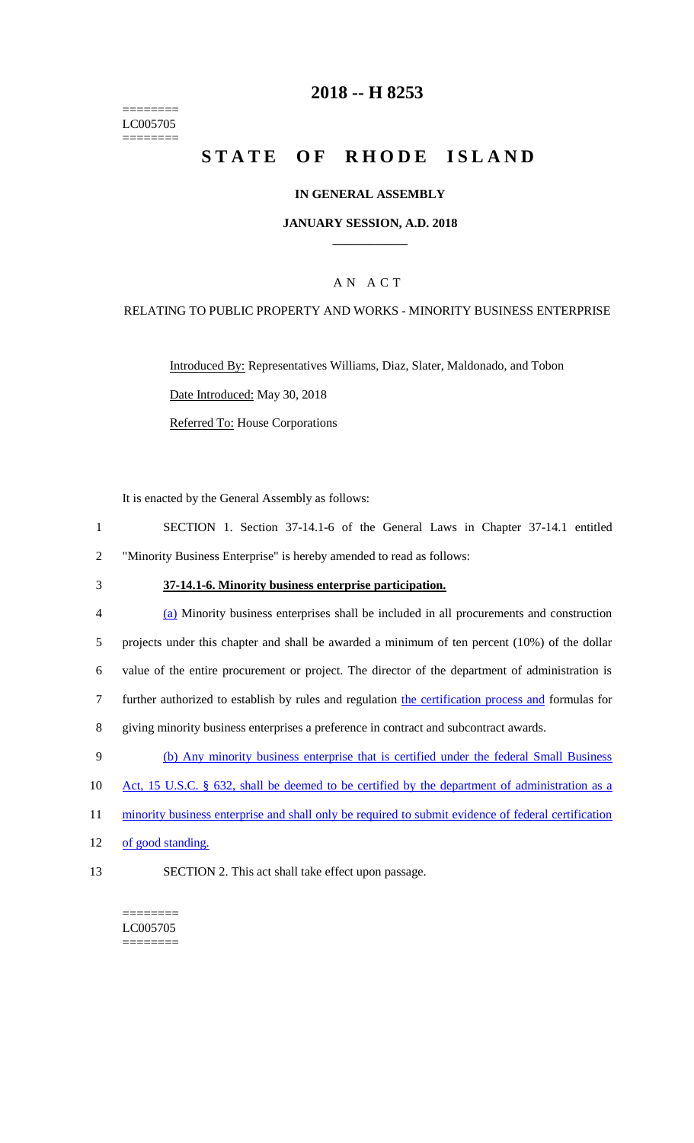======== LC005705  $=$ 

# **2018 -- H 8253**

# **STATE OF RHODE ISLAND**

### **IN GENERAL ASSEMBLY**

#### **JANUARY SESSION, A.D. 2018 \_\_\_\_\_\_\_\_\_\_\_\_**

### A N A C T

#### RELATING TO PUBLIC PROPERTY AND WORKS - MINORITY BUSINESS ENTERPRISE

Introduced By: Representatives Williams, Diaz, Slater, Maldonado, and Tobon Date Introduced: May 30, 2018 Referred To: House Corporations

It is enacted by the General Assembly as follows:

| SECTION 1. Section 37-14.1-6 of the General Laws in Chapter 37-14.1 entitled |  |  |  |  |
|------------------------------------------------------------------------------|--|--|--|--|
| "Minority Business Enterprise" is hereby amended to read as follows:         |  |  |  |  |

## 3 **37-14.1-6. Minority business enterprise participation.**

| $\overline{4}$ | (a) Minority business enterprises shall be included in all procurements and construction           |
|----------------|----------------------------------------------------------------------------------------------------|
| .5             | projects under this chapter and shall be awarded a minimum of ten percent $(10\%)$ of the dollar   |
| 6              | value of the entire procurement or project. The director of the department of administration is    |
|                | further authorized to establish by rules and regulation the certification process and formulas for |
| 8              | giving minority business enterprises a preference in contract and subcontract awards.              |

- 9 (b) Any minority business enterprise that is certified under the federal Small Business
- 10 Act, 15 U.S.C. § 632, shall be deemed to be certified by the department of administration as a
- 11 minority business enterprise and shall only be required to submit evidence of federal certification
- 12 of good standing.
- 13 SECTION 2. This act shall take effect upon passage.

======== LC005705 ========